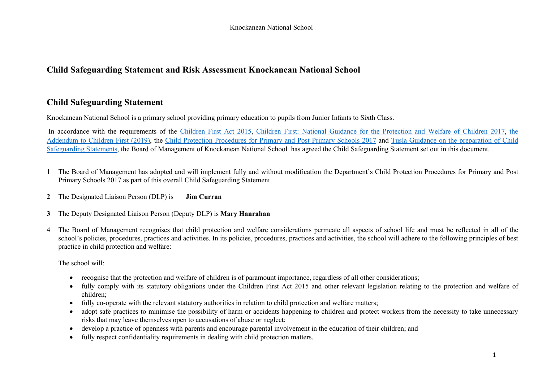# **Child Safeguarding Statement and Risk Assessment Knockanean National School**

# **Child Safeguarding Statement**

Knockanean National School is a primary school providing primary education to pupils from Junior Infants to Sixth Class.

In accordance with the requirements of the Children First Act 2015, Children First: National Guidance for the Protection and Welfare of Children 2017, the Addendum to Children First (2019), the Child Protection Procedures for Primary and Post Primary Schools 2017 and Tusla Guidance on the preparation of Child Safeguarding Statements, the Board of Management of Knockanean National School has agreed the Child Safeguarding Statement set out in this document.

- 1 The Board of Management has adopted and will implement fully and without modification the Department's Child Protection Procedures for Primary and Post Primary Schools 2017 as part of this overall Child Safeguarding Statement
- **2** The Designated Liaison Person (DLP) is **Jim Curran**
- **3** The Deputy Designated Liaison Person (Deputy DLP) is **Mary Hanrahan**
- 4 The Board of Management recognises that child protection and welfare considerations permeate all aspects of school life and must be reflected in all of the school's policies, procedures, practices and activities. In its policies, procedures, practices and activities, the school will adhere to the following principles of best practice in child protection and welfare:

The school will:

- recognise that the protection and welfare of children is of paramount importance, regardless of all other considerations;
- fully comply with its statutory obligations under the Children First Act 2015 and other relevant legislation relating to the protection and welfare of children;
- fully co-operate with the relevant statutory authorities in relation to child protection and welfare matters;
- adopt safe practices to minimise the possibility of harm or accidents happening to children and protect workers from the necessity to take unnecessary risks that may leave themselves open to accusations of abuse or neglect;
- develop a practice of openness with parents and encourage parental involvement in the education of their children; and
- fully respect confidentiality requirements in dealing with child protection matters.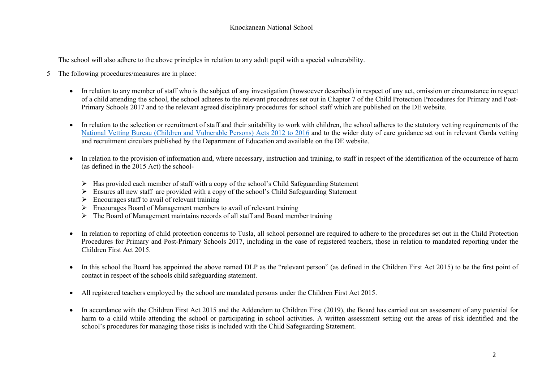The school will also adhere to the above principles in relation to any adult pupil with a special vulnerability.

- 5 The following procedures/measures are in place:
	- In relation to any member of staff who is the subject of any investigation (howsoever described) in respect of any act, omission or circumstance in respect of a child attending the school, the school adheres to the relevant procedures set out in Chapter 7 of the Child Protection Procedures for Primary and Post-Primary Schools 2017 and to the relevant agreed disciplinary procedures for school staff which are published on the DE website.
	- In relation to the selection or recruitment of staff and their suitability to work with children, the school adheres to the statutory vetting requirements of the National Vetting Bureau (Children and Vulnerable Persons) Acts 2012 to 2016 and to the wider duty of care guidance set out in relevant Garda vetting and recruitment circulars published by the Department of Education and available on the DE website.
	- In relation to the provision of information and, where necessary, instruction and training, to staff in respect of the identification of the occurrence of harm (as defined in the 2015 Act) the school-
		- $\triangleright$  Has provided each member of staff with a copy of the school's Child Safeguarding Statement
		- $\triangleright$  Ensures all new staff are provided with a copy of the school's Child Safeguarding Statement
		- $\triangleright$  Encourages staff to avail of relevant training
		- $\triangleright$  Encourages Board of Management members to avail of relevant training
		- $\triangleright$  The Board of Management maintains records of all staff and Board member training
	- In relation to reporting of child protection concerns to Tusla, all school personnel are required to adhere to the procedures set out in the Child Protection Procedures for Primary and Post-Primary Schools 2017, including in the case of registered teachers, those in relation to mandated reporting under the Children First Act 2015.
	- In this school the Board has appointed the above named DLP as the "relevant person" (as defined in the Children First Act 2015) to be the first point of contact in respect of the schools child safeguarding statement.
	- All registered teachers employed by the school are mandated persons under the Children First Act 2015.
	- In accordance with the Children First Act 2015 and the Addendum to Children First (2019), the Board has carried out an assessment of any potential for harm to a child while attending the school or participating in school activities. A written assessment setting out the areas of risk identified and the school's procedures for managing those risks is included with the Child Safeguarding Statement.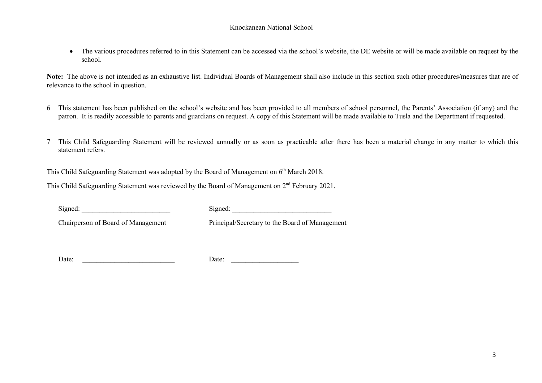• The various procedures referred to in this Statement can be accessed via the school's website, the DE website or will be made available on request by the school.

**Note:** The above is not intended as an exhaustive list. Individual Boards of Management shall also include in this section such other procedures/measures that are of relevance to the school in question.

- 6 This statement has been published on the school's website and has been provided to all members of school personnel, the Parents' Association (if any) and the patron. It is readily accessible to parents and guardians on request. A copy of this Statement will be made available to Tusla and the Department if requested.
- 7 This Child Safeguarding Statement will be reviewed annually or as soon as practicable after there has been a material change in any matter to which this statement refers.

This Child Safeguarding Statement was adopted by the Board of Management on  $6<sup>th</sup>$  March 2018.

This Child Safeguarding Statement was reviewed by the Board of Management on 2<sup>nd</sup> February 2021.

Signed: Signed:

Chairperson of Board of Management Principal/Secretary to the Board of Management

Date: \_\_\_\_\_\_\_\_\_\_\_\_\_\_\_\_\_\_\_\_\_\_\_\_\_\_ Date: \_\_\_\_\_\_\_\_\_\_\_\_\_\_\_\_\_\_\_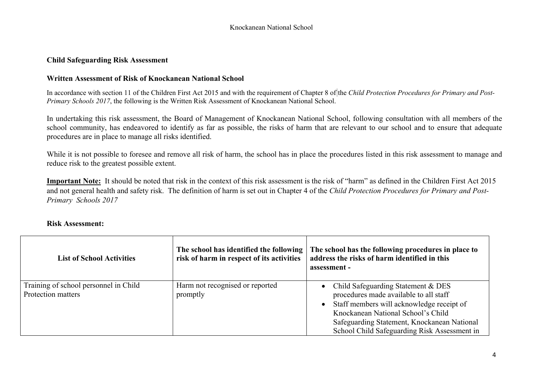#### **Child Safeguarding Risk Assessment**

#### **Written Assessment of Risk of Knockanean National School**

In accordance with section 11 of the Children First Act 2015 and with the requirement of Chapter 8 of the *Child Protection Procedures for Primary and Post-Primary Schools 2017*, the following is the Written Risk Assessment of Knockanean National School.

In undertaking this risk assessment, the Board of Management of Knockanean National School, following consultation with all members of the school community, has endeavored to identify as far as possible, the risks of harm that are relevant to our school and to ensure that adequate procedures are in place to manage all risks identified.

While it is not possible to foresee and remove all risk of harm, the school has in place the procedures listed in this risk assessment to manage and reduce risk to the greatest possible extent.

**Important Note:** It should be noted that risk in the context of this risk assessment is the risk of "harm" as defined in the Children First Act 2015 and not general health and safety risk. The definition of harm is set out in Chapter 4 of the *Child Protection Procedures for Primary and Post-Primary Schools 2017*

#### **Risk Assessment:**

| <b>List of School Activities</b>                            | The school has identified the following<br>risk of harm in respect of its activities | The school has the following procedures in place to<br>address the risks of harm identified in this<br>assessment - |
|-------------------------------------------------------------|--------------------------------------------------------------------------------------|---------------------------------------------------------------------------------------------------------------------|
| Training of school personnel in Child<br>Protection matters | Harm not recognised or reported<br>promptly                                          | Child Safeguarding Statement & DES<br>$\bullet$<br>procedures made available to all staff                           |
|                                                             |                                                                                      | Staff members will acknowledge receipt of<br>$\bullet$                                                              |
|                                                             |                                                                                      | Knockanean National School's Child                                                                                  |
|                                                             |                                                                                      | Safeguarding Statement, Knockanean National                                                                         |
|                                                             |                                                                                      | School Child Safeguarding Risk Assessment in                                                                        |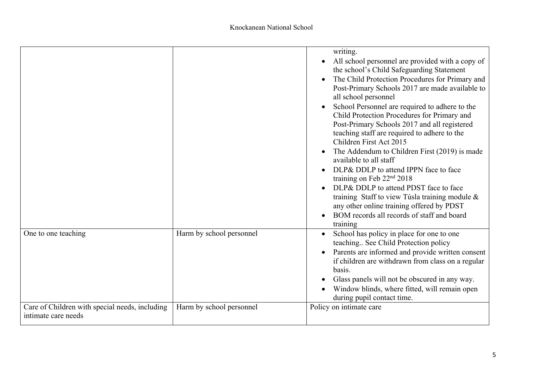|                                                                       |                          | writing.<br>All school personnel are provided with a copy of                                                    |
|-----------------------------------------------------------------------|--------------------------|-----------------------------------------------------------------------------------------------------------------|
|                                                                       |                          | the school's Child Safeguarding Statement                                                                       |
|                                                                       |                          | The Child Protection Procedures for Primary and<br>Post-Primary Schools 2017 are made available to              |
|                                                                       |                          | all school personnel<br>School Personnel are required to adhere to the                                          |
|                                                                       |                          | Child Protection Procedures for Primary and                                                                     |
|                                                                       |                          | Post-Primary Schools 2017 and all registered<br>teaching staff are required to adhere to the                    |
|                                                                       |                          | Children First Act 2015                                                                                         |
|                                                                       |                          | The Addendum to Children First (2019) is made<br>available to all staff                                         |
|                                                                       |                          | DLP& DDLP to attend IPPN face to face<br>training on Feb 22 <sup>nd</sup> 2018                                  |
|                                                                       |                          | DLP& DDLP to attend PDST face to face<br>training Staff to view Túsla training module &                         |
|                                                                       |                          | any other online training offered by PDST<br>BOM records all records of staff and board                         |
|                                                                       |                          | training                                                                                                        |
| One to one teaching                                                   | Harm by school personnel | School has policy in place for one to one<br>teaching See Child Protection policy                               |
|                                                                       |                          | Parents are informed and provide written consent<br>if children are withdrawn from class on a regular<br>basis. |
|                                                                       |                          | Glass panels will not be obscured in any way.                                                                   |
|                                                                       |                          | Window blinds, where fitted, will remain open<br>during pupil contact time.                                     |
| Care of Children with special needs, including<br>intimate care needs | Harm by school personnel | Policy on intimate care                                                                                         |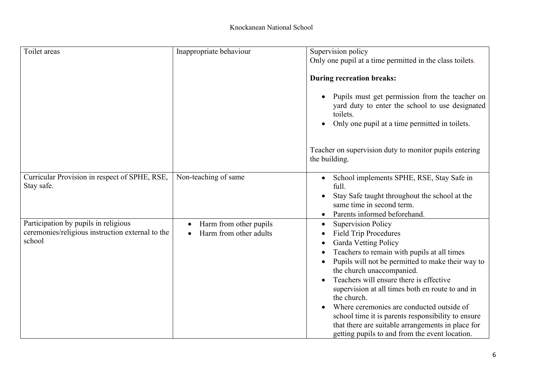| Toilet areas                                                                                       | Inappropriate behaviour                                       | Supervision policy<br>Only one pupil at a time permitted in the class toilets.                                                                                                                                                                                                                                                                                                                                                                                                                                                             |
|----------------------------------------------------------------------------------------------------|---------------------------------------------------------------|--------------------------------------------------------------------------------------------------------------------------------------------------------------------------------------------------------------------------------------------------------------------------------------------------------------------------------------------------------------------------------------------------------------------------------------------------------------------------------------------------------------------------------------------|
|                                                                                                    |                                                               |                                                                                                                                                                                                                                                                                                                                                                                                                                                                                                                                            |
|                                                                                                    |                                                               | <b>During recreation breaks:</b>                                                                                                                                                                                                                                                                                                                                                                                                                                                                                                           |
|                                                                                                    |                                                               | Pupils must get permission from the teacher on<br>yard duty to enter the school to use designated<br>toilets.<br>Only one pupil at a time permitted in toilets.                                                                                                                                                                                                                                                                                                                                                                            |
|                                                                                                    |                                                               | Teacher on supervision duty to monitor pupils entering<br>the building.                                                                                                                                                                                                                                                                                                                                                                                                                                                                    |
| Curricular Provision in respect of SPHE, RSE,<br>Stay safe.                                        | Non-teaching of same                                          | School implements SPHE, RSE, Stay Safe in<br>full.<br>Stay Safe taught throughout the school at the<br>same time in second term.<br>Parents informed beforehand.                                                                                                                                                                                                                                                                                                                                                                           |
| Participation by pupils in religious<br>ceremonies/religious instruction external to the<br>school | Harm from other pupils<br>$\bullet$<br>Harm from other adults | <b>Supervision Policy</b><br><b>Field Trip Procedures</b><br>Garda Vetting Policy<br>Teachers to remain with pupils at all times<br>Pupils will not be permitted to make their way to<br>the church unaccompanied.<br>Teachers will ensure there is effective<br>supervision at all times both en route to and in<br>the church.<br>Where ceremonies are conducted outside of<br>school time it is parents responsibility to ensure<br>that there are suitable arrangements in place for<br>getting pupils to and from the event location. |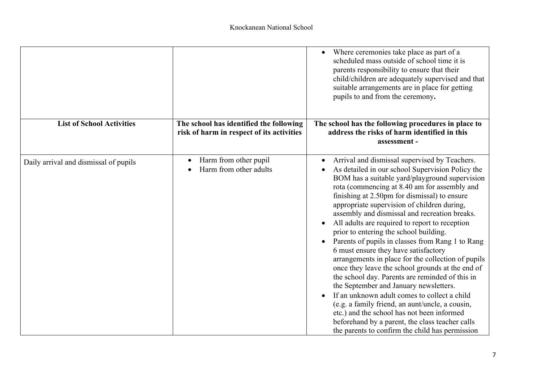|                                       |                                                                                      | Where ceremonies take place as part of a<br>scheduled mass outside of school time it is<br>parents responsibility to ensure that their<br>child/children are adequately supervised and that<br>suitable arrangements are in place for getting<br>pupils to and from the ceremony.                                                                                                                                                                                                                                                                                                                                                                                                                                                                                                                                                                                                                                                                                                                         |
|---------------------------------------|--------------------------------------------------------------------------------------|-----------------------------------------------------------------------------------------------------------------------------------------------------------------------------------------------------------------------------------------------------------------------------------------------------------------------------------------------------------------------------------------------------------------------------------------------------------------------------------------------------------------------------------------------------------------------------------------------------------------------------------------------------------------------------------------------------------------------------------------------------------------------------------------------------------------------------------------------------------------------------------------------------------------------------------------------------------------------------------------------------------|
| <b>List of School Activities</b>      | The school has identified the following<br>risk of harm in respect of its activities | The school has the following procedures in place to<br>address the risks of harm identified in this                                                                                                                                                                                                                                                                                                                                                                                                                                                                                                                                                                                                                                                                                                                                                                                                                                                                                                       |
|                                       |                                                                                      | assessment -                                                                                                                                                                                                                                                                                                                                                                                                                                                                                                                                                                                                                                                                                                                                                                                                                                                                                                                                                                                              |
| Daily arrival and dismissal of pupils | Harm from other pupil<br>Harm from other adults                                      | Arrival and dismissal supervised by Teachers.<br>As detailed in our school Supervision Policy the<br>BOM has a suitable yard/playground supervision<br>rota (commencing at 8.40 am for assembly and<br>finishing at 2.50pm for dismissal) to ensure<br>appropriate supervision of children during,<br>assembly and dismissal and recreation breaks.<br>All adults are required to report to reception<br>prior to entering the school building.<br>Parents of pupils in classes from Rang 1 to Rang<br>6 must ensure they have satisfactory<br>arrangements in place for the collection of pupils<br>once they leave the school grounds at the end of<br>the school day. Parents are reminded of this in<br>the September and January newsletters.<br>If an unknown adult comes to collect a child<br>(e.g. a family friend, an aunt/uncle, a cousin,<br>etc.) and the school has not been informed<br>beforehand by a parent, the class teacher calls<br>the parents to confirm the child has permission |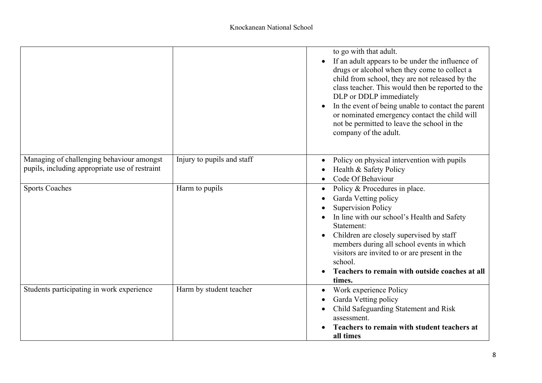|                                                                                             |                            | to go with that adult.<br>If an adult appears to be under the influence of<br>drugs or alcohol when they come to collect a<br>child from school, they are not released by the<br>class teacher. This would then be reported to the<br>DLP or DDLP immediately<br>In the event of being unable to contact the parent<br>or nominated emergency contact the child will<br>not be permitted to leave the school in the<br>company of the adult. |
|---------------------------------------------------------------------------------------------|----------------------------|----------------------------------------------------------------------------------------------------------------------------------------------------------------------------------------------------------------------------------------------------------------------------------------------------------------------------------------------------------------------------------------------------------------------------------------------|
| Managing of challenging behaviour amongst<br>pupils, including appropriate use of restraint | Injury to pupils and staff | Policy on physical intervention with pupils<br>Health & Safety Policy<br>Code Of Behaviour                                                                                                                                                                                                                                                                                                                                                   |
| <b>Sports Coaches</b>                                                                       | Harm to pupils             | Policy & Procedures in place.<br>Garda Vetting policy<br><b>Supervision Policy</b><br>In line with our school's Health and Safety<br>Statement:<br>Children are closely supervised by staff<br>members during all school events in which<br>visitors are invited to or are present in the<br>school.<br>Teachers to remain with outside coaches at all<br>times.                                                                             |
| Students participating in work experience                                                   | Harm by student teacher    | Work experience Policy<br>Garda Vetting policy<br>Child Safeguarding Statement and Risk<br>assessment.<br>Teachers to remain with student teachers at<br>all times                                                                                                                                                                                                                                                                           |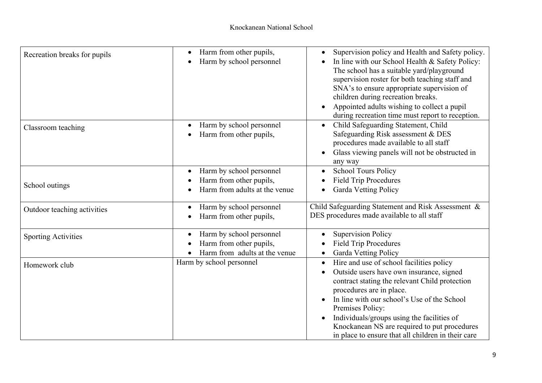| Recreation breaks for pupils | Harm from other pupils,<br>Harm by school personnel                                  | Supervision policy and Health and Safety policy.<br>In line with our School Health & Safety Policy:<br>The school has a suitable yard/playground<br>supervision roster for both teaching staff and<br>SNA's to ensure appropriate supervision of<br>children during recreation breaks.<br>Appointed adults wishing to collect a pupil<br>during recreation time must report to reception.              |
|------------------------------|--------------------------------------------------------------------------------------|--------------------------------------------------------------------------------------------------------------------------------------------------------------------------------------------------------------------------------------------------------------------------------------------------------------------------------------------------------------------------------------------------------|
| Classroom teaching           | Harm by school personnel<br>Harm from other pupils,                                  | Child Safeguarding Statement, Child<br>Safeguarding Risk assessment & DES<br>procedures made available to all staff<br>Glass viewing panels will not be obstructed in<br>any way                                                                                                                                                                                                                       |
| School outings               | Harm by school personnel<br>Harm from other pupils,<br>Harm from adults at the venue | <b>School Tours Policy</b><br><b>Field Trip Procedures</b><br><b>Garda Vetting Policy</b>                                                                                                                                                                                                                                                                                                              |
| Outdoor teaching activities  | Harm by school personnel<br>Harm from other pupils,                                  | Child Safeguarding Statement and Risk Assessment &<br>DES procedures made available to all staff                                                                                                                                                                                                                                                                                                       |
| <b>Sporting Activities</b>   | Harm by school personnel<br>Harm from other pupils,<br>Harm from adults at the venue | <b>Supervision Policy</b><br><b>Field Trip Procedures</b><br>Garda Vetting Policy                                                                                                                                                                                                                                                                                                                      |
| Homework club                | Harm by school personnel                                                             | Hire and use of school facilities policy<br>$\bullet$<br>Outside users have own insurance, signed<br>contract stating the relevant Child protection<br>procedures are in place.<br>In line with our school's Use of the School<br>Premises Policy:<br>Individuals/groups using the facilities of<br>Knockanean NS are required to put procedures<br>in place to ensure that all children in their care |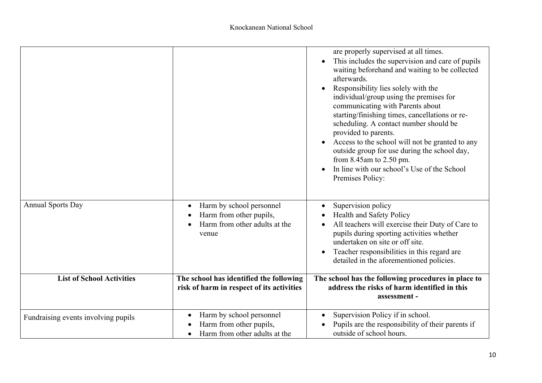|                                     |                                                                                                   | are properly supervised at all times.<br>This includes the supervision and care of pupils<br>waiting beforehand and waiting to be collected<br>afterwards.<br>Responsibility lies solely with the<br>individual/group using the premises for<br>communicating with Parents about<br>starting/finishing times, cancellations or re-<br>scheduling. A contact number should be<br>provided to parents.<br>Access to the school will not be granted to any<br>outside group for use during the school day,<br>from $8.45$ am to $2.50$ pm.<br>In line with our school's Use of the School<br>Premises Policy: |
|-------------------------------------|---------------------------------------------------------------------------------------------------|------------------------------------------------------------------------------------------------------------------------------------------------------------------------------------------------------------------------------------------------------------------------------------------------------------------------------------------------------------------------------------------------------------------------------------------------------------------------------------------------------------------------------------------------------------------------------------------------------------|
| <b>Annual Sports Day</b>            | Harm by school personnel<br>Harm from other pupils,<br>Harm from other adults at the<br>venue     | Supervision policy<br>Health and Safety Policy<br>All teachers will exercise their Duty of Care to<br>pupils during sporting activities whether<br>undertaken on site or off site.<br>Teacher responsibilities in this regard are<br>detailed in the aforementioned policies.                                                                                                                                                                                                                                                                                                                              |
| <b>List of School Activities</b>    | The school has identified the following<br>risk of harm in respect of its activities              | The school has the following procedures in place to<br>address the risks of harm identified in this<br>assessment -                                                                                                                                                                                                                                                                                                                                                                                                                                                                                        |
| Fundraising events involving pupils | Harm by school personnel<br>$\bullet$<br>Harm from other pupils,<br>Harm from other adults at the | Supervision Policy if in school.<br>Pupils are the responsibility of their parents if<br>outside of school hours.                                                                                                                                                                                                                                                                                                                                                                                                                                                                                          |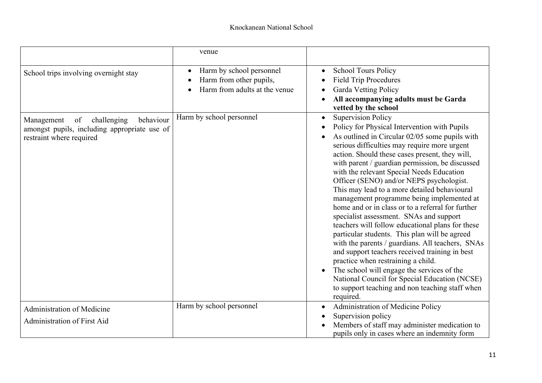|                                                                                                                          | venue                                                                                             |                                                                                                                                                                                                                                                                                                                                                                                                                                                                                                                                                                                                                                                                                                                                                                                                                                                                                                                                                                                                     |
|--------------------------------------------------------------------------------------------------------------------------|---------------------------------------------------------------------------------------------------|-----------------------------------------------------------------------------------------------------------------------------------------------------------------------------------------------------------------------------------------------------------------------------------------------------------------------------------------------------------------------------------------------------------------------------------------------------------------------------------------------------------------------------------------------------------------------------------------------------------------------------------------------------------------------------------------------------------------------------------------------------------------------------------------------------------------------------------------------------------------------------------------------------------------------------------------------------------------------------------------------------|
| School trips involving overnight stay                                                                                    | Harm by school personnel<br>$\bullet$<br>Harm from other pupils,<br>Harm from adults at the venue | <b>School Tours Policy</b><br>$\bullet$<br><b>Field Trip Procedures</b><br><b>Garda Vetting Policy</b><br>All accompanying adults must be Garda<br>vetted by the school                                                                                                                                                                                                                                                                                                                                                                                                                                                                                                                                                                                                                                                                                                                                                                                                                             |
| behaviour<br>of<br>challenging<br>Management<br>amongst pupils, including appropriate use of<br>restraint where required | Harm by school personnel                                                                          | <b>Supervision Policy</b><br>$\bullet$<br>Policy for Physical Intervention with Pupils<br>As outlined in Circular 02/05 some pupils with<br>serious difficulties may require more urgent<br>action. Should these cases present, they will,<br>with parent / guardian permission, be discussed<br>with the relevant Special Needs Education<br>Officer (SENO) and/or NEPS psychologist.<br>This may lead to a more detailed behavioural<br>management programme being implemented at<br>home and or in class or to a referral for further<br>specialist assessment. SNAs and support<br>teachers will follow educational plans for these<br>particular students. This plan will be agreed<br>with the parents / guardians. All teachers, SNAs<br>and support teachers received training in best<br>practice when restraining a child.<br>The school will engage the services of the<br>National Council for Special Education (NCSE)<br>to support teaching and non teaching staff when<br>required. |
| Administration of Medicine<br>Administration of First Aid                                                                | Harm by school personnel                                                                          | Administration of Medicine Policy<br>Supervision policy<br>Members of staff may administer medication to<br>pupils only in cases where an indemnity form                                                                                                                                                                                                                                                                                                                                                                                                                                                                                                                                                                                                                                                                                                                                                                                                                                            |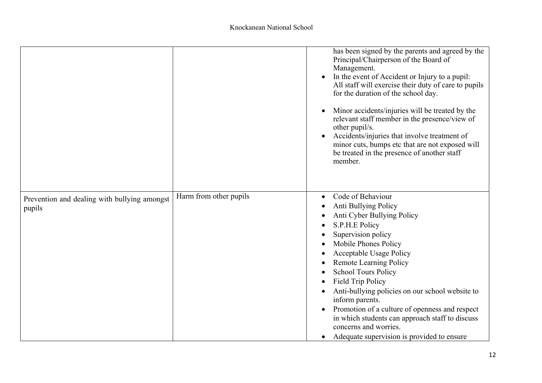|                                                        |                        | has been signed by the parents and agreed by the<br>Principal/Chairperson of the Board of<br>Management.<br>In the event of Accident or Injury to a pupil:<br>All staff will exercise their duty of care to pupils<br>for the duration of the school day.<br>Minor accidents/injuries will be treated by the<br>relevant staff member in the presence/view of<br>other pupil/s.<br>Accidents/injuries that involve treatment of<br>minor cuts, bumps etc that are not exposed will<br>be treated in the presence of another staff<br>member. |
|--------------------------------------------------------|------------------------|----------------------------------------------------------------------------------------------------------------------------------------------------------------------------------------------------------------------------------------------------------------------------------------------------------------------------------------------------------------------------------------------------------------------------------------------------------------------------------------------------------------------------------------------|
| Prevention and dealing with bullying amongst<br>pupils | Harm from other pupils | Code of Behaviour<br>Anti Bullying Policy<br>Anti Cyber Bullying Policy<br>S.P.H.E Policy<br>Supervision policy<br>Mobile Phones Policy<br>Acceptable Usage Policy<br><b>Remote Learning Policy</b><br><b>School Tours Policy</b><br><b>Field Trip Policy</b><br>Anti-bullying policies on our school website to<br>inform parents.<br>Promotion of a culture of openness and respect<br>in which students can approach staff to discuss<br>concerns and worries.<br>Adequate supervision is provided to ensure                              |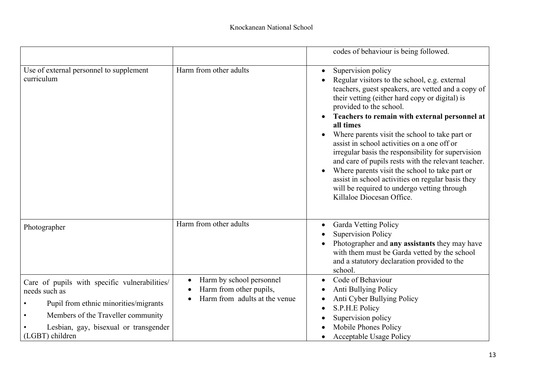|                                                                                                                                                                                                           |                                                                                      | codes of behaviour is being followed.                                                                                                                                                                                                                                                                                                                                                                                                                                                                                                                                                                                                                                              |
|-----------------------------------------------------------------------------------------------------------------------------------------------------------------------------------------------------------|--------------------------------------------------------------------------------------|------------------------------------------------------------------------------------------------------------------------------------------------------------------------------------------------------------------------------------------------------------------------------------------------------------------------------------------------------------------------------------------------------------------------------------------------------------------------------------------------------------------------------------------------------------------------------------------------------------------------------------------------------------------------------------|
| Use of external personnel to supplement<br>curriculum                                                                                                                                                     | Harm from other adults                                                               | Supervision policy<br>$\bullet$<br>Regular visitors to the school, e.g. external<br>teachers, guest speakers, are vetted and a copy of<br>their vetting (either hard copy or digital) is<br>provided to the school.<br>Teachers to remain with external personnel at<br>all times<br>Where parents visit the school to take part or<br>assist in school activities on a one off or<br>irregular basis the responsibility for supervision<br>and care of pupils rests with the relevant teacher.<br>Where parents visit the school to take part or<br>assist in school activities on regular basis they<br>will be required to undergo vetting through<br>Killaloe Diocesan Office. |
| Photographer                                                                                                                                                                                              | Harm from other adults                                                               | Garda Vetting Policy<br><b>Supervision Policy</b><br>Photographer and any assistants they may have<br>with them must be Garda vetted by the school<br>and a statutory declaration provided to the<br>school.                                                                                                                                                                                                                                                                                                                                                                                                                                                                       |
| Care of pupils with specific vulnerabilities/<br>needs such as<br>Pupil from ethnic minorities/migrants<br>Members of the Traveller community<br>Lesbian, gay, bisexual or transgender<br>(LGBT) children | Harm by school personnel<br>Harm from other pupils,<br>Harm from adults at the venue | Code of Behaviour<br>Anti Bullying Policy<br>Anti Cyber Bullying Policy<br>S.P.H.E Policy<br>Supervision policy<br>Mobile Phones Policy<br><b>Acceptable Usage Policy</b>                                                                                                                                                                                                                                                                                                                                                                                                                                                                                                          |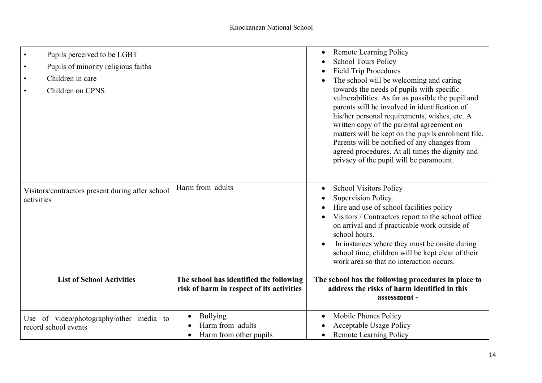| Pupils perceived to be LGBT<br>$\bullet$<br>Pupils of minority religious faiths<br>$\bullet$<br>Children in care<br>$\bullet$<br>Children on CPNS<br>$\bullet$ |                                                                                      | <b>Remote Learning Policy</b><br><b>School Tours Policy</b><br><b>Field Trip Procedures</b><br>The school will be welcoming and caring<br>towards the needs of pupils with specific<br>vulnerabilities. As far as possible the pupil and<br>parents will be involved in identification of<br>his/her personal requirements, wishes, etc. A<br>written copy of the parental agreement on<br>matters will be kept on the pupils enrolment file.<br>Parents will be notified of any changes from<br>agreed procedures. At all times the dignity and<br>privacy of the pupil will be paramount. |
|----------------------------------------------------------------------------------------------------------------------------------------------------------------|--------------------------------------------------------------------------------------|---------------------------------------------------------------------------------------------------------------------------------------------------------------------------------------------------------------------------------------------------------------------------------------------------------------------------------------------------------------------------------------------------------------------------------------------------------------------------------------------------------------------------------------------------------------------------------------------|
| Visitors/contractors present during after school<br>activities                                                                                                 | Harm from adults                                                                     | <b>School Visitors Policy</b><br><b>Supervision Policy</b><br>Hire and use of school facilities policy<br>Visitors / Contractors report to the school office<br>on arrival and if practicable work outside of<br>school hours.<br>In instances where they must be onsite during<br>school time, children will be kept clear of their<br>work area so that no interaction occurs.                                                                                                                                                                                                            |
| <b>List of School Activities</b>                                                                                                                               | The school has identified the following<br>risk of harm in respect of its activities | The school has the following procedures in place to<br>address the risks of harm identified in this<br>assessment -                                                                                                                                                                                                                                                                                                                                                                                                                                                                         |
| Use of video/photography/other media to<br>record school events                                                                                                | <b>Bullying</b><br>Harm from adults<br>Harm from other pupils<br>$\bullet$           | Mobile Phones Policy<br>Acceptable Usage Policy<br><b>Remote Learning Policy</b>                                                                                                                                                                                                                                                                                                                                                                                                                                                                                                            |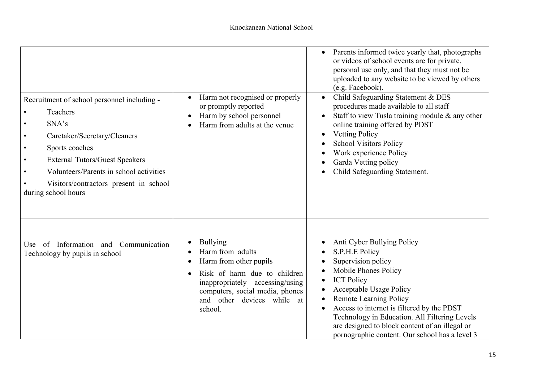| Recruitment of school personnel including -<br>Teachers<br>SNA's<br>Caretaker/Secretary/Cleaners<br>Sports coaches<br><b>External Tutors/Guest Speakers</b><br>Volunteers/Parents in school activities<br>Visitors/contractors present in school<br>during school hours | Harm not recognised or properly<br>or promptly reported<br>Harm by school personnel<br>Harm from adults at the venue                                                                                                      | Parents informed twice yearly that, photographs<br>or videos of school events are for private,<br>personal use only, and that they must not be<br>uploaded to any website to be viewed by others<br>(e.g. Facebook).<br>Child Safeguarding Statement & DES<br>$\bullet$<br>procedures made available to all staff<br>Staff to view Tusla training module & any other<br>online training offered by PDST<br><b>Vetting Policy</b><br><b>School Visitors Policy</b><br>Work experience Policy<br>Garda Vetting policy<br>Child Safeguarding Statement. |
|-------------------------------------------------------------------------------------------------------------------------------------------------------------------------------------------------------------------------------------------------------------------------|---------------------------------------------------------------------------------------------------------------------------------------------------------------------------------------------------------------------------|------------------------------------------------------------------------------------------------------------------------------------------------------------------------------------------------------------------------------------------------------------------------------------------------------------------------------------------------------------------------------------------------------------------------------------------------------------------------------------------------------------------------------------------------------|
| Use of Information and Communication<br>Technology by pupils in school                                                                                                                                                                                                  | <b>Bullying</b><br>$\bullet$<br>Harm from adults<br>Harm from other pupils<br>Risk of harm due to children<br>inappropriately accessing/using<br>computers, social media, phones<br>and other devices while at<br>school. | Anti Cyber Bullying Policy<br>S.P.H.E Policy<br>Supervision policy<br>Mobile Phones Policy<br><b>ICT Policy</b><br><b>Acceptable Usage Policy</b><br>Remote Learning Policy<br>Access to internet is filtered by the PDST<br>Technology in Education. All Filtering Levels<br>are designed to block content of an illegal or<br>pornographic content. Our school has a level 3                                                                                                                                                                       |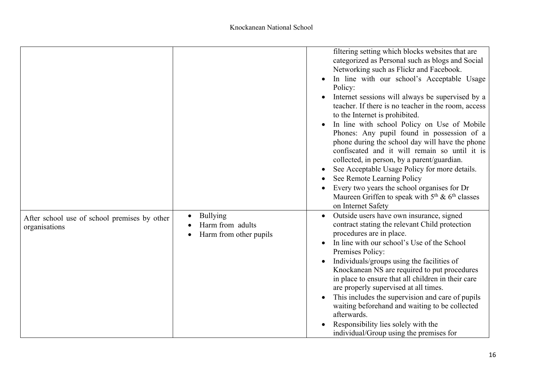|                                                               |                                                                                  | filtering setting which blocks websites that are<br>categorized as Personal such as blogs and Social<br>Networking such as Flickr and Facebook.<br>In line with our school's Acceptable Usage<br>Policy:<br>Internet sessions will always be supervised by a<br>teacher. If there is no teacher in the room, access<br>to the Internet is prohibited.<br>In line with school Policy on Use of Mobile<br>Phones: Any pupil found in possession of a<br>phone during the school day will have the phone<br>confiscated and it will remain so until it is<br>collected, in person, by a parent/guardian.<br>See Acceptable Usage Policy for more details.<br>See Remote Learning Policy<br>Every two years the school organises for Dr<br>Maureen Griffen to speak with $5th$ & 6 <sup>th</sup> classes<br>on Internet Safety |
|---------------------------------------------------------------|----------------------------------------------------------------------------------|----------------------------------------------------------------------------------------------------------------------------------------------------------------------------------------------------------------------------------------------------------------------------------------------------------------------------------------------------------------------------------------------------------------------------------------------------------------------------------------------------------------------------------------------------------------------------------------------------------------------------------------------------------------------------------------------------------------------------------------------------------------------------------------------------------------------------|
| After school use of school premises by other<br>organisations | Bullying<br>$\bullet$<br>Harm from adults<br>Harm from other pupils<br>$\bullet$ | Outside users have own insurance, signed<br>contract stating the relevant Child protection<br>procedures are in place.<br>In line with our school's Use of the School<br>Premises Policy:<br>Individuals/groups using the facilities of<br>Knockanean NS are required to put procedures<br>in place to ensure that all children in their care<br>are properly supervised at all times.<br>This includes the supervision and care of pupils<br>waiting beforehand and waiting to be collected<br>afterwards.<br>Responsibility lies solely with the<br>individual/Group using the premises for                                                                                                                                                                                                                              |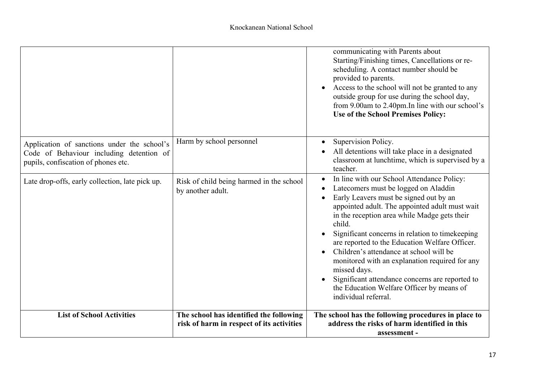|                                                                                                                                |                                                                                      | communicating with Parents about<br>Starting/Finishing times, Cancellations or re-<br>scheduling. A contact number should be<br>provided to parents.<br>Access to the school will not be granted to any<br>outside group for use during the school day,<br>from 9.00am to 2.40pm. In line with our school's<br>Use of the School Premises Policy:                                                                                                                                                                                                                                  |
|--------------------------------------------------------------------------------------------------------------------------------|--------------------------------------------------------------------------------------|------------------------------------------------------------------------------------------------------------------------------------------------------------------------------------------------------------------------------------------------------------------------------------------------------------------------------------------------------------------------------------------------------------------------------------------------------------------------------------------------------------------------------------------------------------------------------------|
| Application of sanctions under the school's<br>Code of Behaviour including detention of<br>pupils, confiscation of phones etc. | Harm by school personnel                                                             | Supervision Policy.<br>All detentions will take place in a designated<br>classroom at lunchtime, which is supervised by a<br>teacher.                                                                                                                                                                                                                                                                                                                                                                                                                                              |
| Late drop-offs, early collection, late pick up.                                                                                | Risk of child being harmed in the school<br>by another adult.                        | In line with our School Attendance Policy:<br>Latecomers must be logged on Aladdin<br>Early Leavers must be signed out by an<br>appointed adult. The appointed adult must wait<br>in the reception area while Madge gets their<br>child.<br>Significant concerns in relation to timekeeping<br>are reported to the Education Welfare Officer.<br>Children's attendance at school will be<br>monitored with an explanation required for any<br>missed days.<br>Significant attendance concerns are reported to<br>the Education Welfare Officer by means of<br>individual referral. |
| <b>List of School Activities</b>                                                                                               | The school has identified the following<br>risk of harm in respect of its activities | The school has the following procedures in place to<br>address the risks of harm identified in this<br>assessment -                                                                                                                                                                                                                                                                                                                                                                                                                                                                |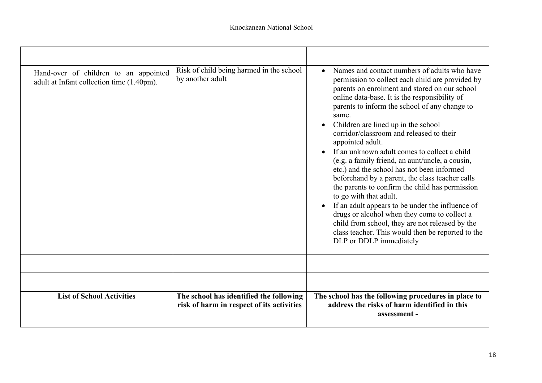| Hand-over of children to an appointed<br>adult at Infant collection time (1.40pm). | Risk of child being harmed in the school<br>by another adult                         | Names and contact numbers of adults who have<br>$\bullet$<br>permission to collect each child are provided by<br>parents on enrolment and stored on our school<br>online data-base. It is the responsibility of<br>parents to inform the school of any change to<br>same.<br>Children are lined up in the school<br>corridor/classroom and released to their<br>appointed adult.<br>If an unknown adult comes to collect a child<br>(e.g. a family friend, an aunt/uncle, a cousin,<br>etc.) and the school has not been informed<br>beforehand by a parent, the class teacher calls<br>the parents to confirm the child has permission<br>to go with that adult.<br>If an adult appears to be under the influence of<br>$\bullet$<br>drugs or alcohol when they come to collect a<br>child from school, they are not released by the<br>class teacher. This would then be reported to the<br>DLP or DDLP immediately |
|------------------------------------------------------------------------------------|--------------------------------------------------------------------------------------|-----------------------------------------------------------------------------------------------------------------------------------------------------------------------------------------------------------------------------------------------------------------------------------------------------------------------------------------------------------------------------------------------------------------------------------------------------------------------------------------------------------------------------------------------------------------------------------------------------------------------------------------------------------------------------------------------------------------------------------------------------------------------------------------------------------------------------------------------------------------------------------------------------------------------|
|                                                                                    |                                                                                      |                                                                                                                                                                                                                                                                                                                                                                                                                                                                                                                                                                                                                                                                                                                                                                                                                                                                                                                       |
|                                                                                    |                                                                                      |                                                                                                                                                                                                                                                                                                                                                                                                                                                                                                                                                                                                                                                                                                                                                                                                                                                                                                                       |
| <b>List of School Activities</b>                                                   | The school has identified the following<br>risk of harm in respect of its activities | The school has the following procedures in place to<br>address the risks of harm identified in this<br>assessment -                                                                                                                                                                                                                                                                                                                                                                                                                                                                                                                                                                                                                                                                                                                                                                                                   |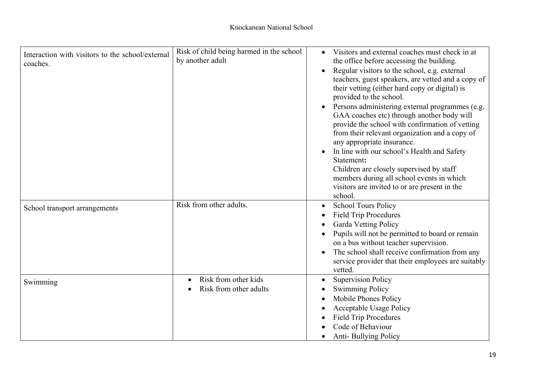| Interaction with visitors to the school/external<br>coaches. | Risk of child being harmed in the school<br>by another adult | Visitors and external coaches must check in at<br>the office before accessing the building.<br>Regular visitors to the school, e.g. external<br>teachers, guest speakers, are vetted and a copy of<br>their vetting (either hard copy or digital) is<br>provided to the school.<br>Persons administering external programmes (e.g.<br>GAA coaches etc) through another body will<br>provide the school with confirmation of vetting<br>from their relevant organization and a copy of<br>any appropriate insurance.<br>In line with our school's Health and Safety<br>Statement:<br>Children are closely supervised by staff<br>members during all school events in which<br>visitors are invited to or are present in the<br>school. |
|--------------------------------------------------------------|--------------------------------------------------------------|---------------------------------------------------------------------------------------------------------------------------------------------------------------------------------------------------------------------------------------------------------------------------------------------------------------------------------------------------------------------------------------------------------------------------------------------------------------------------------------------------------------------------------------------------------------------------------------------------------------------------------------------------------------------------------------------------------------------------------------|
| School transport arrangements                                | Risk from other adults.                                      | <b>School Tours Policy</b><br><b>Field Trip Procedures</b><br><b>Garda Vetting Policy</b><br>Pupils will not be permitted to board or remain<br>on a bus without teacher supervision.<br>The school shall receive confirmation from any<br>service provider that their employees are suitably<br>vetted.                                                                                                                                                                                                                                                                                                                                                                                                                              |
| Swimming                                                     | Risk from other kids<br>Risk from other adults               | <b>Supervision Policy</b><br><b>Swimming Policy</b><br>Mobile Phones Policy<br><b>Acceptable Usage Policy</b><br><b>Field Trip Procedures</b><br>Code of Behaviour<br><b>Anti-Bullying Policy</b>                                                                                                                                                                                                                                                                                                                                                                                                                                                                                                                                     |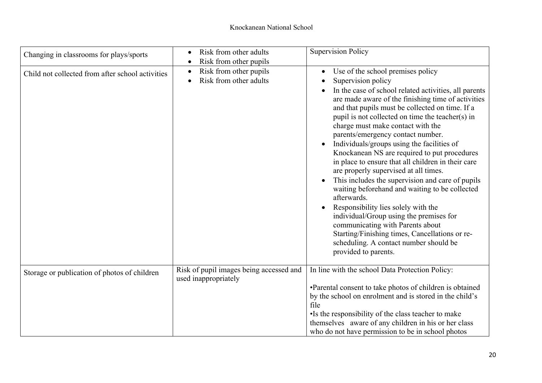| Changing in classrooms for plays/sports          | Risk from other adults<br>Risk from other pupils                | <b>Supervision Policy</b>                                                                                                                                                                                                                                                                                                                                                                                                                                                                                                                                                                                                                                                                                                                                                                                                                                                                                                        |
|--------------------------------------------------|-----------------------------------------------------------------|----------------------------------------------------------------------------------------------------------------------------------------------------------------------------------------------------------------------------------------------------------------------------------------------------------------------------------------------------------------------------------------------------------------------------------------------------------------------------------------------------------------------------------------------------------------------------------------------------------------------------------------------------------------------------------------------------------------------------------------------------------------------------------------------------------------------------------------------------------------------------------------------------------------------------------|
| Child not collected from after school activities | Risk from other pupils<br>$\bullet$<br>Risk from other adults   | Use of the school premises policy<br>Supervision policy<br>In the case of school related activities, all parents<br>are made aware of the finishing time of activities<br>and that pupils must be collected on time. If a<br>pupil is not collected on time the teacher(s) in<br>charge must make contact with the<br>parents/emergency contact number.<br>Individuals/groups using the facilities of<br>Knockanean NS are required to put procedures<br>in place to ensure that all children in their care<br>are properly supervised at all times.<br>This includes the supervision and care of pupils<br>$\bullet$<br>waiting beforehand and waiting to be collected<br>afterwards.<br>Responsibility lies solely with the<br>individual/Group using the premises for<br>communicating with Parents about<br>Starting/Finishing times, Cancellations or re-<br>scheduling. A contact number should be<br>provided to parents. |
| Storage or publication of photos of children     | Risk of pupil images being accessed and<br>used inappropriately | In line with the school Data Protection Policy:<br>•Parental consent to take photos of children is obtained<br>by the school on enrolment and is stored in the child's<br>file<br>•Is the responsibility of the class teacher to make<br>themselves aware of any children in his or her class<br>who do not have permission to be in school photos                                                                                                                                                                                                                                                                                                                                                                                                                                                                                                                                                                               |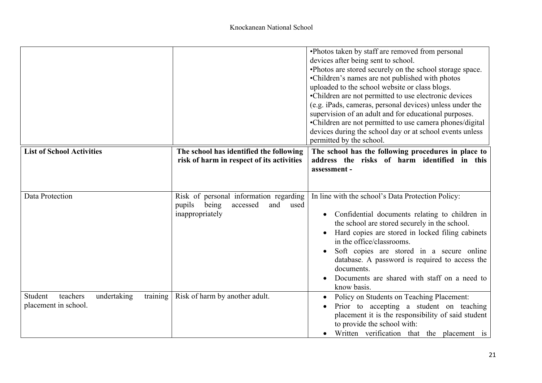|                                                                        |                                                                                                         | •Photos taken by staff are removed from personal<br>devices after being sent to school.<br>•Photos are stored securely on the school storage space.<br>•Children's names are not published with photos<br>uploaded to the school website or class blogs.<br>•Children are not permitted to use electronic devices<br>(e.g. iPads, cameras, personal devices) unless under the<br>supervision of an adult and for educational purposes.<br>•Children are not permitted to use camera phones/digital<br>devices during the school day or at school events unless<br>permitted by the school. |
|------------------------------------------------------------------------|---------------------------------------------------------------------------------------------------------|--------------------------------------------------------------------------------------------------------------------------------------------------------------------------------------------------------------------------------------------------------------------------------------------------------------------------------------------------------------------------------------------------------------------------------------------------------------------------------------------------------------------------------------------------------------------------------------------|
| <b>List of School Activities</b>                                       | The school has identified the following<br>risk of harm in respect of its activities                    | The school has the following procedures in place to<br>address the risks of harm identified in this<br>assessment -                                                                                                                                                                                                                                                                                                                                                                                                                                                                        |
| Data Protection                                                        | Risk of personal information regarding<br>pupils<br>being<br>accessed<br>and<br>used<br>inappropriately | In line with the school's Data Protection Policy:<br>Confidential documents relating to children in<br>$\bullet$<br>the school are stored securely in the school.<br>Hard copies are stored in locked filing cabinets<br>in the office/classrooms.<br>Soft copies are stored in a secure online<br>database. A password is required to access the<br>documents.<br>Documents are shared with staff on a need to<br>know basis.                                                                                                                                                             |
| Student<br>training<br>teachers<br>undertaking<br>placement in school. | Risk of harm by another adult.                                                                          | Policy on Students on Teaching Placement:<br>Prior to accepting a student on teaching<br>placement it is the responsibility of said student<br>to provide the school with:<br>Written verification that the placement is                                                                                                                                                                                                                                                                                                                                                                   |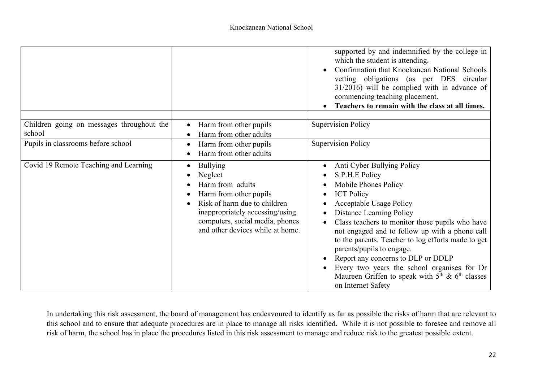|                                                     |                                                                                                                                                                                                                    | supported by and indemnified by the college in<br>which the student is attending.<br>Confirmation that Knockanean National Schools<br>$\bullet$<br>vetting obligations (as per DES circular<br>$31/2016$ ) will be complied with in advance of<br>commencing teaching placement.<br>Teachers to remain with the class at all times.                                                                                                                                                                               |
|-----------------------------------------------------|--------------------------------------------------------------------------------------------------------------------------------------------------------------------------------------------------------------------|-------------------------------------------------------------------------------------------------------------------------------------------------------------------------------------------------------------------------------------------------------------------------------------------------------------------------------------------------------------------------------------------------------------------------------------------------------------------------------------------------------------------|
| Children going on messages throughout the<br>school | Harm from other pupils<br>$\bullet$<br>Harm from other adults                                                                                                                                                      | <b>Supervision Policy</b>                                                                                                                                                                                                                                                                                                                                                                                                                                                                                         |
| Pupils in classrooms before school                  | Harm from other pupils<br>Harm from other adults                                                                                                                                                                   | <b>Supervision Policy</b>                                                                                                                                                                                                                                                                                                                                                                                                                                                                                         |
| Covid 19 Remote Teaching and Learning               | <b>Bullying</b><br>Neglect<br>Harm from adults<br>Harm from other pupils<br>Risk of harm due to children<br>inappropriately accessing/using<br>computers, social media, phones<br>and other devices while at home. | Anti Cyber Bullying Policy<br>S.P.H.E Policy<br>Mobile Phones Policy<br><b>ICT Policy</b><br><b>Acceptable Usage Policy</b><br>Distance Learning Policy<br>Class teachers to monitor those pupils who have<br>not engaged and to follow up with a phone call<br>to the parents. Teacher to log efforts made to get<br>parents/pupils to engage.<br>Report any concerns to DLP or DDLP<br>Every two years the school organises for Dr<br>Maureen Griffen to speak with $5th$ & $6th$ classes<br>on Internet Safety |

In undertaking this risk assessment, the board of management has endeavoured to identify as far as possible the risks of harm that are relevant to this school and to ensure that adequate procedures are in place to manage all risks identified. While it is not possible to foresee and remove all risk of harm, the school has in place the procedures listed in this risk assessment to manage and reduce risk to the greatest possible extent.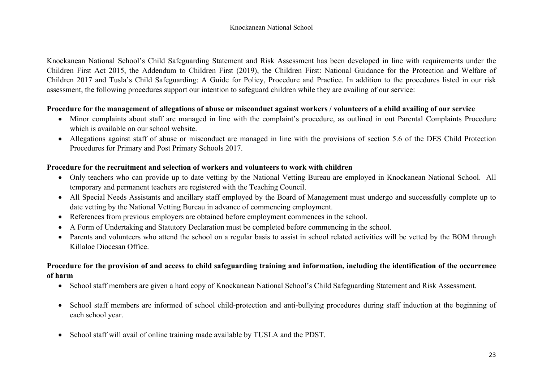Knockanean National School's Child Safeguarding Statement and Risk Assessment has been developed in line with requirements under the Children First Act 2015, the Addendum to Children First (2019), the Children First: National Guidance for the Protection and Welfare of Children 2017 and Tusla's Child Safeguarding: A Guide for Policy, Procedure and Practice. In addition to the procedures listed in our risk assessment, the following procedures support our intention to safeguard children while they are availing of our service:

## **Procedure for the management of allegations of abuse or misconduct against workers / volunteers of a child availing of our service**

- Minor complaints about staff are managed in line with the complaint's procedure, as outlined in out Parental Complaints Procedure which is available on our school website.
- Allegations against staff of abuse or misconduct are managed in line with the provisions of section 5.6 of the DES Child Protection Procedures for Primary and Post Primary Schools 2017.

## **Procedure for the recruitment and selection of workers and volunteers to work with children**

- Only teachers who can provide up to date vetting by the National Vetting Bureau are employed in Knockanean National School. All temporary and permanent teachers are registered with the Teaching Council.
- All Special Needs Assistants and ancillary staff employed by the Board of Management must undergo and successfully complete up to date vetting by the National Vetting Bureau in advance of commencing employment.
- References from previous employers are obtained before employment commences in the school.
- A Form of Undertaking and Statutory Declaration must be completed before commencing in the school.
- Parents and volunteers who attend the school on a regular basis to assist in school related activities will be vetted by the BOM through Killaloe Diocesan Office.

## **Procedure for the provision of and access to child safeguarding training and information, including the identification of the occurrence of harm**

- School staff members are given a hard copy of Knockanean National School's Child Safeguarding Statement and Risk Assessment.
- School staff members are informed of school child-protection and anti-bullying procedures during staff induction at the beginning of each school year.
- School staff will avail of online training made available by TUSLA and the PDST.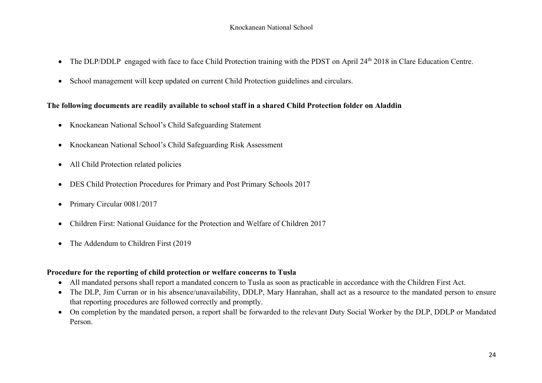- The DLP/DDLP engaged with face to face Child Protection training with the PDST on April 24<sup>th</sup> 2018 in Clare Education Centre.
- School management will keep updated on current Child Protection guidelines and circulars.

## **The following documents are readily available to school staff in a shared Child Protection folder on Aladdin**

- Knockanean National School's Child Safeguarding Statement
- Knockanean National School's Child Safeguarding Risk Assessment
- All Child Protection related policies
- DES Child Protection Procedures for Primary and Post Primary Schools 2017
- Primary Circular 0081/2017
- Children First: National Guidance for the Protection and Welfare of Children 2017
- The Addendum to Children First (2019)

## **Procedure for the reporting of child protection or welfare concerns to Tusla**

- All mandated persons shall report a mandated concern to Tusla as soon as practicable in accordance with the Children First Act.
- The DLP, Jim Curran or in his absence/unavailability, DDLP, Mary Hanrahan, shall act as a resource to the mandated person to ensure that reporting procedures are followed correctly and promptly.
- On completion by the mandated person, a report shall be forwarded to the relevant Duty Social Worker by the DLP, DDLP or Mandated Person.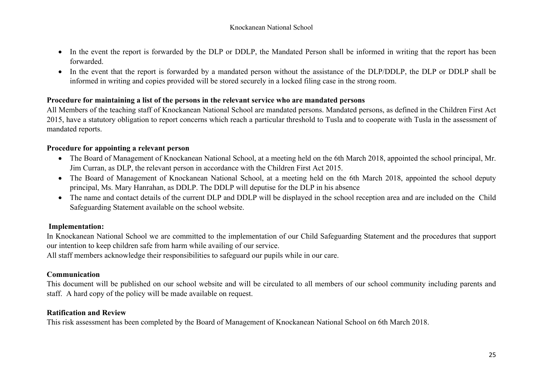- In the event the report is forwarded by the DLP or DDLP, the Mandated Person shall be informed in writing that the report has been forwarded.
- In the event that the report is forwarded by a mandated person without the assistance of the DLP/DDLP, the DLP or DDLP shall be informed in writing and copies provided will be stored securely in a locked filing case in the strong room.

## **Procedure for maintaining a list of the persons in the relevant service who are mandated persons**

All Members of the teaching staff of Knockanean National School are mandated persons. Mandated persons, as defined in the Children First Act 2015, have a statutory obligation to report concerns which reach a particular threshold to Tusla and to cooperate with Tusla in the assessment of mandated reports.

## **Procedure for appointing a relevant person**

- The Board of Management of Knockanean National School, at a meeting held on the 6th March 2018, appointed the school principal, Mr. Jim Curran, as DLP, the relevant person in accordance with the Children First Act 2015.
- The Board of Management of Knockanean National School, at a meeting held on the 6th March 2018, appointed the school deputy principal, Ms. Mary Hanrahan, as DDLP. The DDLP will deputise for the DLP in his absence
- The name and contact details of the current DLP and DDLP will be displayed in the school reception area and are included on the Child Safeguarding Statement available on the school website.

## **Implementation:**

In Knockanean National School we are committed to the implementation of our Child Safeguarding Statement and the procedures that support our intention to keep children safe from harm while availing of our service.

All staff members acknowledge their responsibilities to safeguard our pupils while in our care.

## **Communication**

This document will be published on our school website and will be circulated to all members of our school community including parents and staff. A hard copy of the policy will be made available on request.

## **Ratification and Review**

This risk assessment has been completed by the Board of Management of Knockanean National School on 6th March 2018.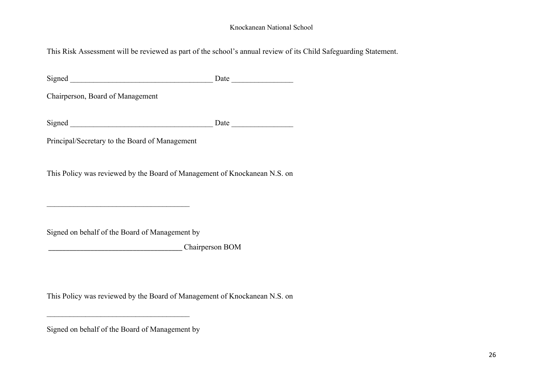This Risk Assessment will be reviewed as part of the school's annual review of its Child Safeguarding Statement.

Signed \_\_\_\_\_\_\_\_\_\_\_\_\_\_\_\_\_\_\_\_\_\_\_\_\_\_\_\_\_\_\_\_\_\_\_\_\_ Date \_\_\_\_\_\_\_\_\_\_\_\_\_\_\_\_

Chairperson, Board of Management

Signed Date Date  $\Box$ 

Principal/Secretary to the Board of Management

This Policy was reviewed by the Board of Management of Knockanean N.S. on

Signed on behalf of the Board of Management by

\_\_\_\_\_\_\_\_\_\_\_\_\_\_\_\_\_\_\_\_\_\_\_\_\_\_\_\_\_\_\_\_\_\_\_\_\_

\_\_\_\_\_\_\_\_\_\_\_\_\_\_\_\_\_\_\_\_\_\_\_\_\_\_\_\_\_\_\_\_\_\_\_\_\_\_ Chairperson BOM

This Policy was reviewed by the Board of Management of Knockanean N.S. on

Signed on behalf of the Board of Management by